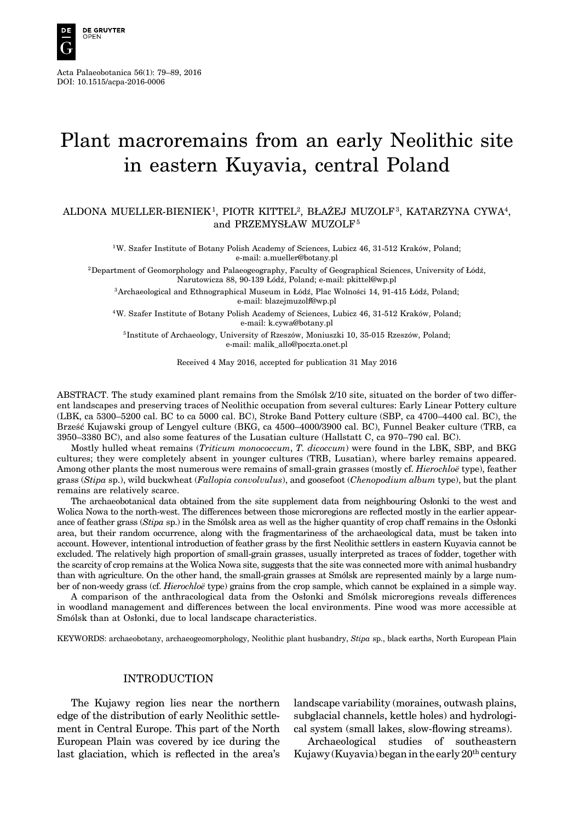

Acta Palaeobotanica 56(1): 79–89, 2016 DOI: 10.1515/acpa-2016-0006

# Plant macroremains from an early Neolithic site in eastern Kuyavia, central Poland

# ALDONA MUELLER-BIENIEK1, PIOTR KITTEL2, BŁAŻEJ MUZOLF<sup>3</sup>, KATARZYNA CYWA4, and PRZEMYSŁAW MUZOLF<sup>5</sup>

<sup>1</sup>W. Szafer Institute of Botany Polish Academy of Sciences, Lubicz 46, 31-512 Kraków, Poland; e-mail: a.mueller@botany.pl

<sup>2</sup>Department of Geomorphology and Palaeogeography, Faculty of Geographical Sciences, University of Łódź, Narutowicza 88, 90-139 Łódź, Poland; e-mail: pkittel@wp.pl

<sup>3</sup>Archaeological and Ethnographical Museum in Łódź, Plac Wolności 14, 91-415 Łódź, Poland; e-mail: blazejmuzolf@wp.pl

<sup>4</sup>W. Szafer Institute of Botany Polish Academy of Sciences, Lubicz 46, 31-512 Kraków, Poland; e-mail: k.cywa@botany.pl

<sup>5</sup>Institute of Archaeology, University of Rzeszów, Moniuszki 10, 35-015 Rzeszów, Poland; e-mail: malik\_allo@poczta.onet.pl

Received 4 May 2016, accepted for publication 31 May 2016

ABSTRACT. The study examined plant remains from the Smólsk 2/10 site, situated on the border of two different landscapes and preserving traces of Neolithic occupation from several cultures: Early Linear Pottery culture (LBK, ca 5300–5200 cal. BC to ca 5000 cal. BC), Stroke Band Pottery culture (SBP, ca 4700–4400 cal. BC), the Brześć Kujawski group of Lengyel culture (BKG, ca 4500–4000/3900 cal. BC), Funnel Beaker culture (TRB, ca 3950–3380 BC), and also some features of the Lusatian culture (Hallstatt C, ca 970–790 cal. BC).

Mostly hulled wheat remains (*Triticum monococcum*, *T. dicoccum*) were found in the LBK, SBP, and BKG cultures; they were completely absent in younger cultures (TRB, Lusatian), where barley remains appeared. Among other plants the most numerous were remains of small-grain grasses (mostly cf. *Hierochloë* type), feather grass (*Stipa* sp.), wild buckwheat (*Fallopia convolvulus*), and goosefoot (*Chenopodium album* type), but the plant remains are relatively scarce.

The archaeobotanical data obtained from the site supplement data from neighbouring Osłonki to the west and Wolica Nowa to the north-west. The differences between those microregions are reflected mostly in the earlier appearance of feather grass (*Stipa* sp.) in the Smólsk area as well as the higher quantity of crop chaff remains in the Osłonki area, but their random occurrence, along with the fragmentariness of the archaeological data, must be taken into account. However, intentional introduction of feather grass by the first Neolithic settlers in eastern Kuyavia cannot be excluded. The relatively high proportion of small-grain grasses, usually interpreted as traces of fodder, together with the scarcity of crop remains at the Wolica Nowa site, suggests that the site was connected more with animal husbandry than with agriculture. On the other hand, the small-grain grasses at Smólsk are represented mainly by a large number of non-weedy grass (cf. *Hierochloë* type) grains from the crop sample, which cannot be explained in a simple way.

A comparison of the anthracological data from the Osłonki and Smólsk microregions reveals differences in woodland management and differences between the local environments. Pine wood was more accessible at Smólsk than at Osłonki, due to local landscape characteristics.

KEYWORDS: archaeobotany, archaeogeomorphology, Neolithic plant husbandry, *Stipa* sp., black earths, North European Plain

### INTRODUCTION

The Kujawy region lies near the northern edge of the distribution of early Neolithic settlement in Central Europe. This part of the North European Plain was covered by ice during the last glaciation, which is reflected in the area's landscape variability (moraines, outwash plains, subglacial channels, kettle holes) and hydrological system (small lakes, slow-flowing streams).

Archaeological studies of southeastern Kujawy (Kuyavia) began in the early  $20^{th}$  century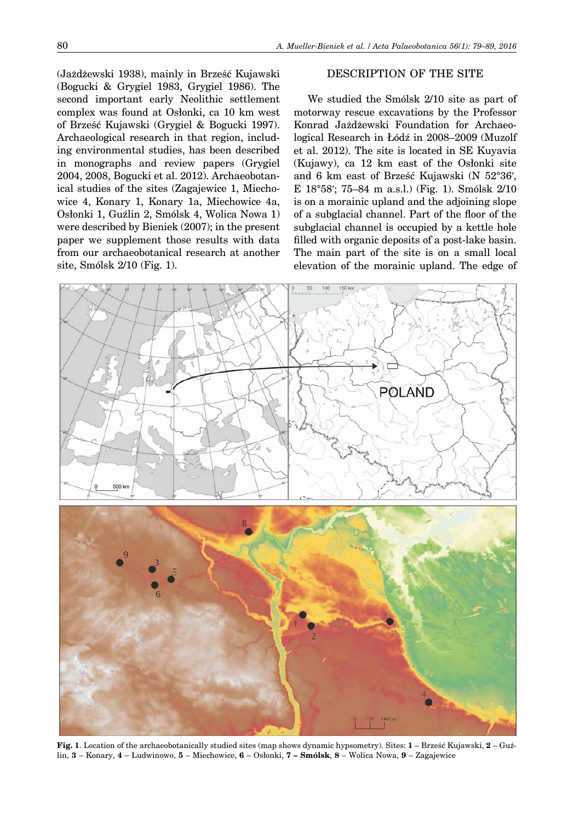(Jażdżewski 1938), mainly in Brześć Kujawski (Bogucki & Grygiel 1983, Grygiel 1986). The second important early Neolithic settlement complex was found at Osłonki, ca 10 km west of Brześć Kujawski (Grygiel & Bogucki 1997). Archaeological research in that region, including environmental studies, has been described in monographs and review papers (Grygiel 2004, 2008, Bogucki et al. 2012). Archaeobotanical studies of the sites (Zagajewice 1, Miechowice 4, Konary 1, Konary 1a, Miechowice 4a, Osłonki 1, Guźlin 2, Smólsk 4, Wolica Nowa 1) were described by Bieniek (2007); in the present paper we supplement those results with data from our archaeobotanical research at another site, Smólsk 2/10 (Fig. 1).

## DESCRIPTION OF THE SITE

We studied the Smólsk 2/10 site as part of motorway rescue excavations by the Professor Konrad Jażdżewski Foundation for Archaeological Research in Łódź in 2008–2009 (Muzolf et al. 2012). The site is located in SE Kuyavia (Kujawy), ca 12 km east of the Osłonki site and 6 km east of Brześć Kujawski (N 52°36ʹ, E 18°58ʹ; 75–84 m a.s.l.) (Fig. 1). Smólsk 2/10 is on a morainic upland and the adjoining slope of a subglacial channel. Part of the floor of the subglacial channel is occupied by a kettle hole filled with organic deposits of a post-lake basin. The main part of the site is on a small local elevation of the morainic upland. The edge of



**Fig. 1**. Location of the archaeobotanically studied sites (map shows dynamic hypsometry). Sites: **1** – Brześć Kujawski, **2** – Guźlin, **3** – Konary, **4** – Ludwinowo, **5** – Miechowice, **6** – Osłonki, **7 – Smólsk**, **8** – Wolica Nowa, **9** – Zagajewice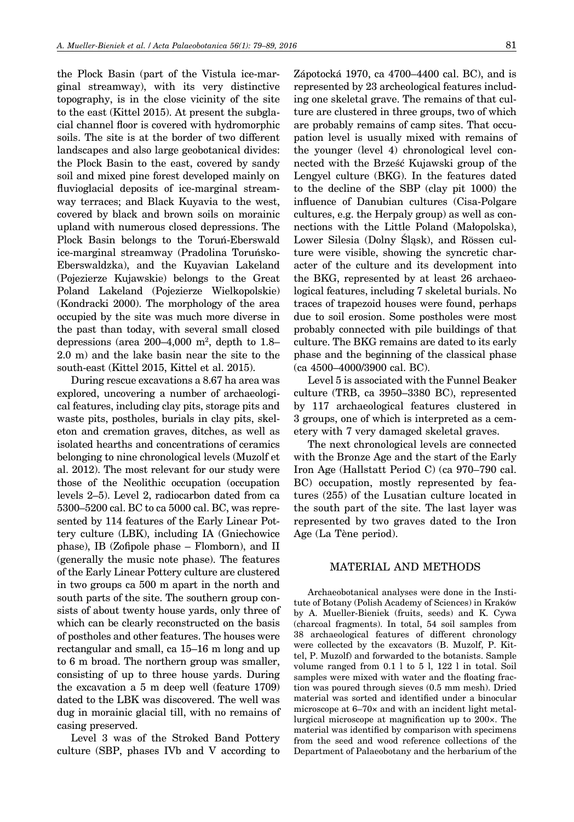the Plock Basin (part of the Vistula ice-marginal streamway), with its very distinctive topography, is in the close vicinity of the site to the east (Kittel 2015). At present the subglacial channel floor is covered with hydromorphic soils. The site is at the border of two different landscapes and also large geobotanical divides: the Plock Basin to the east, covered by sandy soil and mixed pine forest developed mainly on fluvioglacial deposits of ice-marginal streamway terraces; and Black Kuyavia to the west, covered by black and brown soils on morainic upland with numerous closed depressions. The Plock Basin belongs to the Toruń-Eberswald ice-marginal streamway (Pradolina Toruńsko-Eberswaldzka), and the Kuyavian Lakeland (Pojezierze Kujawskie) belongs to the Great Poland Lakeland (Pojezierze Wielkopolskie) (Kondracki 2000). The morphology of the area occupied by the site was much more diverse in the past than today, with several small closed depressions (area 200–4,000 m<sup>2</sup>, depth to 1.8– 2.0 m) and the lake basin near the site to the south-east (Kittel 2015, Kittel et al. 2015).

During rescue excavations a 8.67 ha area was explored, uncovering a number of archaeological features, including clay pits, storage pits and waste pits, postholes, burials in clay pits, skeleton and cremation graves, ditches, as well as isolated hearths and concentrations of ceramics belonging to nine chronological levels (Muzolf et al. 2012). The most relevant for our study were those of the Neolithic occupation (occupation levels 2–5). Level 2, radiocarbon dated from ca 5300–5200 cal. BC to ca 5000 cal. BC, was represented by 114 features of the Early Linear Pottery culture (LBK), including IA (Gniechowice phase), IB (Zofipole phase – Flomborn), and II (generally the music note phase). The features of the Early Linear Pottery culture are clustered in two groups ca 500 m apart in the north and south parts of the site. The southern group consists of about twenty house yards, only three of which can be clearly reconstructed on the basis of postholes and other features. The houses were rectangular and small, ca 15–16 m long and up to 6 m broad. The northern group was smaller, consisting of up to three house yards. During the excavation a 5 m deep well (feature 1709) dated to the LBK was discovered. The well was dug in morainic glacial till, with no remains of casing preserved.

Level 3 was of the Stroked Band Pottery culture (SBP, phases IVb and V according to Zápotocká 1970, ca 4700–4400 cal. BC), and is represented by 23 archeological features including one skeletal grave. The remains of that culture are clustered in three groups, two of which are probably remains of camp sites. That occupation level is usually mixed with remains of the younger (level 4) chronological level connected with the Brześć Kujawski group of the Lengyel culture (BKG). In the features dated to the decline of the SBP (clay pit 1000) the influence of Danubian cultures (Cisa-Polgare cultures, e.g. the Herpaly group) as well as connections with the Little Poland (Małopolska), Lower Silesia (Dolny Śląsk), and Rössen culture were visible, showing the syncretic character of the culture and its development into the BKG, represented by at least 26 archaeological features, including 7 skeletal burials. No traces of trapezoid houses were found, perhaps due to soil erosion. Some postholes were most probably connected with pile buildings of that culture. The BKG remains are dated to its early phase and the beginning of the classical phase (ca 4500–4000/3900 cal. BC).

Level 5 is associated with the Funnel Beaker culture (TRB, ca 3950–3380 BC), represented by 117 archaeological features clustered in 3 groups, one of which is interpreted as a cemetery with 7 very damaged skeletal graves.

The next chronological levels are connected with the Bronze Age and the start of the Early Iron Age (Hallstatt Period C) (ca 970–790 cal. BC) occupation, mostly represented by features (255) of the Lusatian culture located in the south part of the site. The last layer was represented by two graves dated to the Iron Age (La Tène period).

### MATERIAL AND METHODS

Archaeobotanical analyses were done in the Institute of Botany (Polish Academy of Sciences) in Kraków by A. Mueller-Bieniek (fruits, seeds) and K. Cywa (charcoal fragments). In total, 54 soil samples from 38 archaeological features of different chronology were collected by the excavators (B. Muzolf, P. Kittel, P. Muzolf) and forwarded to the botanists. Sample volume ranged from 0.1 l to 5 l, 122 l in total. Soil samples were mixed with water and the floating fraction was poured through sieves (0.5 mm mesh). Dried material was sorted and identified under a binocular microscope at 6–70× and with an incident light metallurgical microscope at magnification up to 200×. The material was identified by comparison with specimens from the seed and wood reference collections of the Department of Palaeobotany and the herbarium of the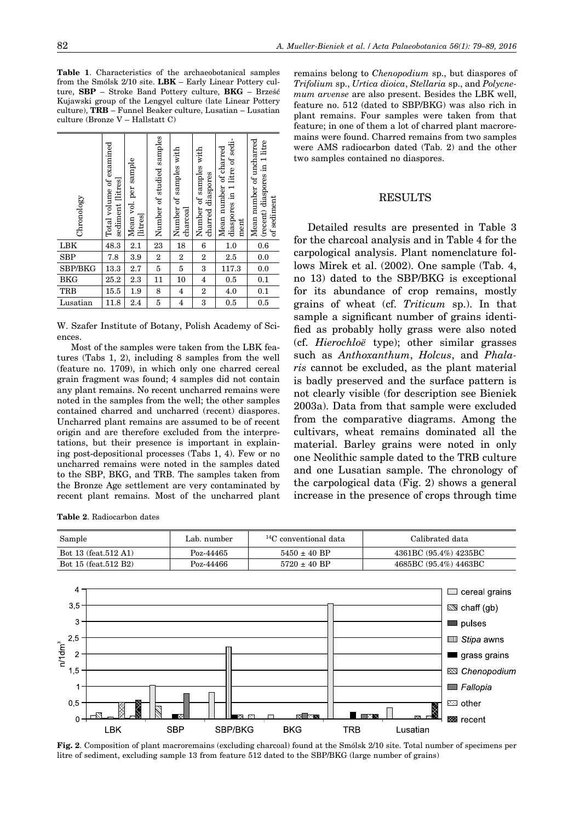| Chronology     | Total volume of examined<br>sediment litres | Mean vol. per sample<br>[litres] | Number of studied samples | Number of samples with<br>$character$ | Number of samples with<br>charred diaspores | diaspores in 1 litre of sedi-<br>Mean number of charred<br>ment | Mean number of uncharred<br>(recent) diaspores in 1 litre<br>of sediment |
|----------------|---------------------------------------------|----------------------------------|---------------------------|---------------------------------------|---------------------------------------------|-----------------------------------------------------------------|--------------------------------------------------------------------------|
| LBK            | 48.3                                        | 2.1                              | 23                        | 18                                    | $\bf 6$                                     | 1.0                                                             | $0.6\,$                                                                  |
| <b>SBP</b>     | 7.8                                         | 3.9                              | $\boldsymbol{2}$          | $\,2$                                 | $\boldsymbol{2}$                            | 2.5                                                             | 0.0                                                                      |
| <b>SBP/BKG</b> | 13.3                                        | 2.7                              | 5                         | 5                                     | 3                                           | 117.3                                                           | 0.0                                                                      |
| <b>BKG</b>     | 25.2                                        | 2.3                              | 11                        | 10                                    | 4                                           | 0.5                                                             | 0.1                                                                      |
| <b>TRB</b>     | 15.5                                        | 1.9                              | 8                         | 4                                     | $\boldsymbol{2}$                            | 4.0                                                             | 0.1                                                                      |
| Lusatian       | 11.8                                        | 2.4                              | 5                         | $\overline{\mathbf{4}}$               | 3                                           | 0.5                                                             | 0.5                                                                      |

W. Szafer Institute of Botany, Polish Academy of Sciences.

Most of the samples were taken from the LBK features (Tabs 1, 2), including 8 samples from the well (feature no. 1709), in which only one charred cereal grain fragment was found; 4 samples did not contain any plant remains. No recent uncharred remains were noted in the samples from the well; the other samples contained charred and uncharred (recent) diaspores. Uncharred plant remains are assumed to be of recent origin and are therefore excluded from the interpretations, but their presence is important in explaining post-depositional processes (Tabs 1, 4). Few or no uncharred remains were noted in the samples dated to the SBP, BKG, and TRB. The samples taken from the Bronze Age settlement are very contaminated by recent plant remains. Most of the uncharred plant remains belong to *Chenopodium* sp., but diaspores of *Trifolium* sp., *Urtica dioica*, *Stellaria* sp., and *Polycnemum arvense* are also present. Besides the LBK well, feature no. 512 (dated to SBP/BKG) was also rich in plant remains. Four samples were taken from that feature; in one of them a lot of charred plant macroremains were found. Charred remains from two samples were AMS radiocarbon dated (Tab. 2) and the other two samples contained no diaspores.

### RESULTS

Detailed results are presented in Table 3 for the charcoal analysis and in Table 4 for the carpological analysis. Plant nomenclature follows Mirek et al. (2002). One sample (Tab. 4, no 13) dated to the SBP/BKG is exceptional for its abundance of crop remains, mostly grains of wheat (cf. *Triticum* sp.). In that sample a significant number of grains identified as probably holly grass were also noted (cf. *Hierochloë* type); other similar grasses such as *Anthoxanthum*, *Holcus*, and *Phalaris* cannot be excluded, as the plant material is badly preserved and the surface pattern is not clearly visible (for description see Bieniek 2003a). Data from that sample were excluded from the comparative diagrams. Among the cultivars, wheat remains dominated all the material. Barley grains were noted in only one Neolithic sample dated to the TRB culture and one Lusatian sample. The chronology of the carpological data (Fig. 2) shows a general increase in the presence of crops through time

**Table 2**. Radiocarbon dates



**Fig. 2**. Composition of plant macroremains (excluding charcoal) found at the Smólsk 2/10 site. Total number of specimens per litre of sediment, excluding sample 13 from feature 512 dated to the SBP/BKG (large number of grains)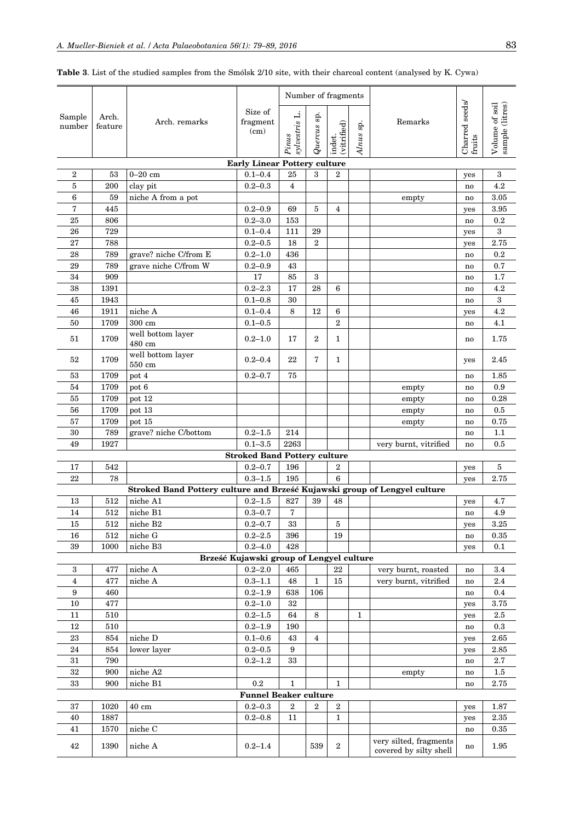|                         |                  |                                                                           |                                          |                        |                | Number of fragments   |              |                        |                          |                                   |
|-------------------------|------------------|---------------------------------------------------------------------------|------------------------------------------|------------------------|----------------|-----------------------|--------------|------------------------|--------------------------|-----------------------------------|
| Sample<br>number        | Arch.<br>feature | Arch. remarks                                                             | Size of<br>fragment<br>(cm)              | sylvestris L.<br>Pinus | Quercus sp.    | (vitrified)<br>indet. | sp.<br>Alnus | Remarks                | Charred seeds/<br>fruits | Volume of soil<br>sample (litres) |
|                         |                  |                                                                           | <b>Early Linear Pottery culture</b>      |                        |                |                       |              |                        |                          |                                   |
| $\boldsymbol{2}$        | 53               | $0 - 20$ cm                                                               | $0.1 - 0.4$                              | 25                     | 3              | $\boldsymbol{2}$      |              |                        | yes                      | 3                                 |
| 5                       | 200              | clay pit                                                                  | $0.2 - 0.3$                              | $\overline{4}$         |                |                       |              |                        | no                       | 4.2                               |
| 6                       | 59               | niche A from a pot                                                        |                                          |                        |                |                       |              | empty                  | no                       | 3.05                              |
| 7                       | 445              |                                                                           | $0.2 - 0.9$                              | 69                     | $\overline{5}$ | $\overline{4}$        |              |                        | yes                      | 3.95                              |
| 25                      | 806              |                                                                           | $0.2 - 3.0$                              | 153                    |                |                       |              |                        | no                       | 0.2                               |
| 26                      | 729              |                                                                           | $0.1 - 0.4$                              | 111                    | 29             |                       |              |                        | yes                      | 3                                 |
| 27                      | 788              |                                                                           | $0.2 - 0.5$                              | 18                     | $\overline{2}$ |                       |              |                        | yes                      | 2.75                              |
| 28                      | 789              | grave? niche C/from E                                                     | $0.2 - 1.0$                              | 436                    |                |                       |              |                        | no                       | 0.2                               |
| 29                      | 789              | grave niche C/from W                                                      | $0.2 - 0.9$                              | 43                     |                |                       |              |                        | no                       | 0.7                               |
| 34                      | 909              |                                                                           | 17                                       | 85                     | $\,3\,$        |                       |              |                        | n <sub>0</sub>           | 1.7                               |
| 38                      | 1391             |                                                                           | $0.2 - 2.3$                              | 17                     | 28             | 6                     |              |                        | no                       | 4.2                               |
| 45                      | 1943             |                                                                           | $0.1 - 0.8$                              | 30                     |                |                       |              |                        | no                       | $\,3\,$                           |
| 46                      | 1911             | niche A                                                                   | $0.1 - 0.4$                              | 8                      | 12             | 6                     |              |                        | yes                      | 4.2                               |
| 50                      | 1709             | 300 cm                                                                    | $0.1 - 0.5$                              |                        |                | $\overline{2}$        |              |                        | no                       | 4.1                               |
| 51                      | 1709             | well bottom layer<br>480 cm                                               | $0.2 - 1.0$                              | 17                     | $\overline{2}$ | 1                     |              |                        | no                       | 1.75                              |
| 52                      | 1709             | well bottom layer<br>550 cm                                               | $0.2 - 0.4$                              | 22                     | 7              | $\mathbf{1}$          |              |                        | yes                      | 2.45                              |
| 53                      | 1709             | pot 4                                                                     | $0.2 - 0.7$                              | 75                     |                |                       |              |                        | no                       | 1.85                              |
| 54                      | 1709             | pot 6                                                                     |                                          |                        |                |                       |              | empty                  | n <sub>0</sub>           | 0.9                               |
| 55                      | 1709             | pot 12                                                                    |                                          |                        |                |                       |              | $\operatorname{empty}$ | n <sub>0</sub>           | 0.28                              |
| 56                      | 1709             | pot 13                                                                    |                                          |                        |                |                       |              | empty                  | n <sub>0</sub>           | 0.5                               |
| 57                      | 1709             | pot 15                                                                    |                                          |                        |                |                       |              | empty                  | n <sub>0</sub>           | 0.75                              |
| 30                      | 789              | grave? niche C/bottom                                                     | $0.2 - 1.5$<br>$0.1 - 3.5$               | 214<br>2263            |                |                       |              |                        | no                       | 1.1                               |
| 49                      | 1927             |                                                                           | <b>Stroked Band Pottery culture</b>      |                        |                |                       |              | very burnt, vitrified  | no                       | 0.5                               |
| 17                      | 542              |                                                                           | $0.2 - 0.7$                              | 196                    |                | $\boldsymbol{2}$      |              |                        | yes                      | 5                                 |
| 22                      | 78               |                                                                           | $0.3 - 1.5$                              | 195                    |                | 6                     |              |                        | yes                      | 2.75                              |
|                         |                  | Stroked Band Pottery culture and Brześć Kujawski group of Lengyel culture |                                          |                        |                |                       |              |                        |                          |                                   |
| 13                      | 512              | niche A1                                                                  | $0.2 - 1.5$                              | 827                    | 39             | 48                    |              |                        | yes                      | 4.7                               |
| 14                      | 512              | niche B1                                                                  | $0.3 - 0.7$                              | 7                      |                |                       |              |                        | no                       | 4.9                               |
| 15                      | 512              | niche B2                                                                  | $0.2 - 0.7$                              | 33                     |                | 5                     |              |                        | yes                      | 3.25                              |
| 16                      | 512              | niche G                                                                   | $0.2 - 2.5$                              | 396                    |                | 19                    |              |                        | no                       | 0.35                              |
| 39                      | 1000             | niche B3                                                                  | $0.2 - 4.0$                              | 428                    |                |                       |              |                        | yes                      | 0.1                               |
|                         |                  |                                                                           | Brześć Kujawski group of Lengyel culture |                        |                |                       |              |                        |                          |                                   |
| 3                       | 477              | niche A                                                                   | $0.2 - 2.0$                              | 465                    |                | 22                    |              | very burnt, roasted    | no                       | 3.4                               |
| $\overline{\mathbf{4}}$ | 477              | niche A                                                                   | $0.3 - 1.1$                              | 48                     | $\mathbf 1$    | $15\,$                |              | very burnt, vitrified  | no                       | 2.4                               |
| 9                       | 460              |                                                                           | $0.2 - 1.9$                              | 638                    | 106            |                       |              |                        | no                       | 0.4                               |
| $10\,$                  | 477              |                                                                           | $0.2 - 1.0$                              | $32\,$                 |                |                       |              |                        | yes                      | 3.75                              |
| 11                      | 510              |                                                                           | $0.2 - 1.5$                              | 64                     | 8              |                       | $\mathbf{1}$ |                        | yes                      | 2.5                               |
| 12                      | 510              |                                                                           | $0.2 - 1.9$                              | 190                    |                |                       |              |                        | no                       | 0.3                               |
| $\bf 23$                | 854              | niche D                                                                   | $0.1 - 0.6$                              | 43                     | $\overline{4}$ |                       |              |                        | yes                      | 2.65                              |
| $\bf 24$                | 854              | lower layer                                                               | $0.2 - 0.5$                              | $\boldsymbol{9}$       |                |                       |              |                        | yes                      | 2.85                              |
| 31<br>32                | 790<br>900       | niche A2                                                                  | $0.2 - 1.2$                              | $33\,$                 |                |                       |              | empty                  | no                       | $2.7\,$<br>1.5                    |
| $33\,$                  | 900              | niche B1                                                                  | 0.2                                      | 1                      |                | $\mathbf{1}$          |              |                        | no<br>no                 | 2.75                              |
|                         |                  |                                                                           | <b>Funnel Beaker culture</b>             |                        |                |                       |              |                        |                          |                                   |
| 37                      | 1020             | $40\ {\rm cm}$                                                            | $0.2 - 0.3$                              | 2                      | $\,2$          | $\boldsymbol{2}$      |              |                        | yes                      | 1.87                              |
| 40                      | 1887             |                                                                           | $0.2 - 0.8$                              | 11                     |                | 1                     |              |                        | yes                      | 2.35                              |
| 41                      | 1570             | niche C                                                                   |                                          |                        |                |                       |              |                        | no                       | 0.35                              |
|                         |                  |                                                                           |                                          |                        |                |                       |              | very silted, fragments |                          |                                   |
| 42                      | 1390             | niche A                                                                   | $0.2 - 1.4$                              |                        | 539            | 2                     |              | covered by silty shell | no                       | 1.95                              |

**Table 3**. List of the studied samples from the Smólsk 2/10 site, with their charcoal content (analysed by K. Cywa)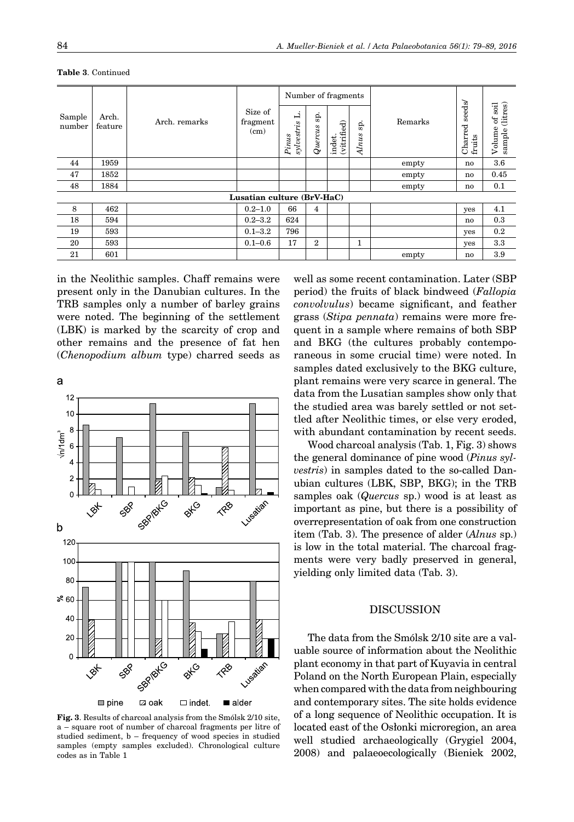|                  |                  |               |                             | Number of fragments                      |                |                       |              |         |                             |                                                  |
|------------------|------------------|---------------|-----------------------------|------------------------------------------|----------------|-----------------------|--------------|---------|-----------------------------|--------------------------------------------------|
| Sample<br>number | Arch.<br>feature | Arch. remarks | Size of<br>fragment<br>(cm) | j.<br>$s_{i^\star}$<br>sylvestr<br>Pinus | sp.<br>Quercus | (vitrified)<br>indet. | sp.<br>Alnus | Remarks | seeds/<br>Charred<br>fruits | (litres)<br>soil<br>$\sigma$<br>Volume<br>sample |
| 44               | 1959             |               |                             |                                          |                |                       |              | empty   | no                          | 3.6                                              |
| 47               | 1852             |               |                             |                                          |                |                       |              | empty   | no.                         | 0.45                                             |
| 48               | 1884             |               |                             |                                          |                |                       |              | empty   | no                          | 0.1                                              |
|                  |                  |               | Lusatian culture (BrV-HaC)  |                                          |                |                       |              |         |                             |                                                  |
| 8                | 462              |               | $0.2 - 1.0$                 | 66                                       | 4              |                       |              |         | yes                         | 4.1                                              |
| 18               | 594              |               | $0.2 - 3.2$                 | 624                                      |                |                       |              |         | no                          | 0.3                                              |
| 19               | 593              |               | $0.1 - 3.2$                 | 796                                      |                |                       |              |         | yes                         | 0.2                                              |
| 20               | 593              |               | $0.1 - 0.6$                 | 17                                       | $\overline{2}$ |                       | 1            |         | yes                         | 3.3                                              |
| 21               | 601              |               |                             |                                          |                |                       |              | empty   | no                          | 3.9                                              |

**Table 3**. Continued

in the Neolithic samples. Chaff remains were present only in the Danubian cultures. In the TRB samples only a number of barley grains were noted. The beginning of the settlement (LBK) is marked by the scarcity of crop and other remains and the presence of fat hen (*Chenopodium album* type) charred seeds as



 $\n *line*\n$ ⊠ oak  $\Box$  indet.  $\blacksquare$  alder

**Fig. 3**. Results of charcoal analysis from the Smólsk 2/10 site, a – square root of number of charcoal fragments per litre of studied sediment, b – frequency of wood species in studied samples (empty samples excluded). Chronological culture codes as in Table 1

well as some recent contamination. Later (SBP period) the fruits of black bindweed (*Fallopia convolvulus*) became significant, and feather grass (*Stipa pennata*) remains were more frequent in a sample where remains of both SBP and BKG (the cultures probably contemporaneous in some crucial time) were noted. In samples dated exclusively to the BKG culture, plant remains were very scarce in general. The data from the Lusatian samples show only that the studied area was barely settled or not settled after Neolithic times, or else very eroded, with abundant contamination by recent seeds.

Wood charcoal analysis (Tab. 1, Fig. 3) shows the general dominance of pine wood (*Pinus sylvestris*) in samples dated to the so-called Danubian cultures (LBK, SBP, BKG); in the TRB samples oak (*Quercus* sp.) wood is at least as important as pine, but there is a possibility of overrepresentation of oak from one construction item (Tab. 3). The presence of alder (*Alnus* sp.) is low in the total material. The charcoal fragments were very badly preserved in general, yielding only limited data (Tab. 3).

# DISCUSSION

The data from the Smólsk 2/10 site are a valuable source of information about the Neolithic plant economy in that part of Kuyavia in central Poland on the North European Plain, especially when compared with the data from neighbouring and contemporary sites. The site holds evidence of a long sequence of Neolithic occupation. It is located east of the Osłonki microregion, an area well studied archaeologically (Grygiel 2004, 2008) and palaeoecologically (Bieniek 2002,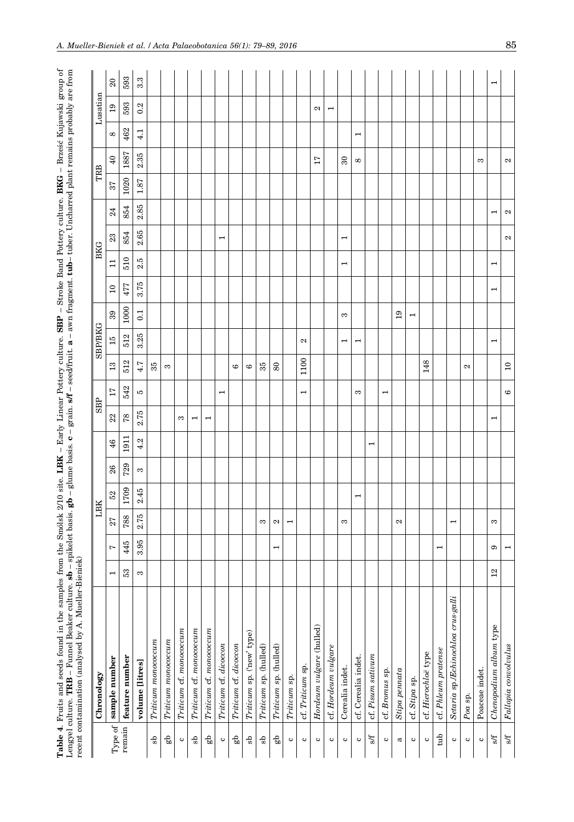| olsk 2/10 site. LBK – Early Linear Pottery culture. SBP – Stroke Band Pottery culture. BKG – Brześć Kujawski grou<br>basis. $gb - g$ lume basis. $c - gra$ in. $sf - seed$ fruit. $a - a$ wn fragment. $tub - tube$ . Uncharred plant remains probably are a<br>こくしょう こくしょう |
|-----------------------------------------------------------------------------------------------------------------------------------------------------------------------------------------------------------------------------------------------------------------------------|
| I<br>Ì                                                                                                                                                                                                                                                                      |

|                          | Lengyel culture. TRB - Funnel Beaker culture. sb - spikelet basis.<br>recent contamination (analysed by A. Mueller-Bieniek) |                          |                          |                          |                          |     |                          |                          |                          |                 |                          |                          |                       |                          |                          |                          |      | $\mathbf{g}$ b – glume basis. $\mathbf{c}$ – grain. $\mathbf{s}$ ff – seed/fruit. $\mathbf{a}$ – awn fragment. $\mathbf{t}$ ub– tuber. Uncharred plant remains probably are from |                          |                       |                          |
|--------------------------|-----------------------------------------------------------------------------------------------------------------------------|--------------------------|--------------------------|--------------------------|--------------------------|-----|--------------------------|--------------------------|--------------------------|-----------------|--------------------------|--------------------------|-----------------------|--------------------------|--------------------------|--------------------------|------|----------------------------------------------------------------------------------------------------------------------------------------------------------------------------------|--------------------------|-----------------------|--------------------------|
|                          | Chronology                                                                                                                  |                          |                          | LBK                      |                          |     |                          | <b>SBP</b>               |                          |                 | <b>SBP/BKG</b>           |                          |                       | <b>BKG</b>               |                          |                          | TRB  |                                                                                                                                                                                  |                          | Lusatian              |                          |
| Type of                  | sample number                                                                                                               | $\overline{\phantom{0}}$ | Ľ                        | 27                       | 52                       | 26  | 46                       | $^{22}$                  | 17                       | $\mathbf{r}_3$  | 15                       | 39                       | $\overline{10}$       | $\Box$                   | $23\,$                   | 24                       | 57   | $\overline{40}$                                                                                                                                                                  | $\infty$                 | $^{0}$                | $\Omega$                 |
| remain                   | feature number                                                                                                              | S3                       | 445                      | 788                      | 1709                     | 729 | 1911                     | $78$                     | 542                      | 512             | 512                      | 1000                     | 477                   | 510                      | 854                      | 854                      | 1020 | 1887                                                                                                                                                                             | 462                      | 593                   | 593                      |
|                          | volume [litres]                                                                                                             | S                        | 3.95                     | 2.75                     | 2.45                     | S   | 4.2                      | 2.75                     | P                        | 4.7             | 3.25                     | $\overline{0.1}$         | 3.75                  | IJ<br>0                  | 2.65                     | 2.85                     | 1.87 | 2.35                                                                                                                                                                             | 4.1                      | U.<br>0               | $3.\overline{3}$         |
| ್ದೆ                      | Triticum monococcum                                                                                                         |                          |                          |                          |                          |     |                          |                          |                          | 35              |                          |                          |                       |                          |                          |                          |      |                                                                                                                                                                                  |                          |                       |                          |
| gр                       | $\label{eq:Triticum} Triticum monococum$                                                                                    |                          |                          |                          |                          |     |                          |                          |                          | S               |                          |                          |                       |                          |                          |                          |      |                                                                                                                                                                                  |                          |                       |                          |
| $\mathbf{\circ}$         | Triticum cf. monococcum                                                                                                     |                          |                          |                          |                          |     |                          | S                        |                          |                 |                          |                          |                       |                          |                          |                          |      |                                                                                                                                                                                  |                          |                       |                          |
| ds                       | Triticum cf. monococcum                                                                                                     |                          |                          |                          |                          |     |                          | $\mathbf{\mathbf{r}}$    |                          |                 |                          |                          |                       |                          |                          |                          |      |                                                                                                                                                                                  |                          |                       |                          |
| dø                       | Triticum cf. monococcum                                                                                                     |                          |                          |                          |                          |     |                          | $\mathbf{\mathbf{r}}$    |                          |                 |                          |                          |                       |                          |                          |                          |      |                                                                                                                                                                                  |                          |                       |                          |
| $\mathbf{\circ}$         | Triticum cf. dicoccon                                                                                                       |                          |                          |                          |                          |     |                          |                          | $\overline{\phantom{0}}$ |                 |                          |                          |                       |                          | $\mathbf{\mathbf{r}}$    |                          |      |                                                                                                                                                                                  |                          |                       |                          |
| đЗ                       | Triticum cf. dicoccon                                                                                                       |                          |                          |                          |                          |     |                          |                          |                          | G               |                          |                          |                       |                          |                          |                          |      |                                                                                                                                                                                  |                          |                       |                          |
| Ъ                        | Triticum sp. ('new' type)                                                                                                   |                          |                          |                          |                          |     |                          |                          |                          | $\circ$         |                          |                          |                       |                          |                          |                          |      |                                                                                                                                                                                  |                          |                       |                          |
| qs                       | Triticum sp. (hulled)                                                                                                       |                          |                          | S                        |                          |     |                          |                          |                          | 35              |                          |                          |                       |                          |                          |                          |      |                                                                                                                                                                                  |                          |                       |                          |
| qЗ                       | (hulled)<br>Triticum sp.                                                                                                    |                          | $\overline{\phantom{a}}$ | $\mathbf{c}$             |                          |     |                          |                          |                          | 80              |                          |                          |                       |                          |                          |                          |      |                                                                                                                                                                                  |                          |                       |                          |
| $\mathbf{\circ}$         | Triticum sp.                                                                                                                |                          |                          | $\mathbf{\mathbf{r}}$    |                          |     |                          |                          |                          |                 |                          |                          |                       |                          |                          |                          |      |                                                                                                                                                                                  |                          |                       |                          |
| $\mathbf c$              | cf. Triticum sp.                                                                                                            |                          |                          |                          |                          |     |                          |                          | $\overline{ }$           | 1100            | Z                        |                          |                       |                          |                          |                          |      |                                                                                                                                                                                  |                          |                       |                          |
| $\circ$                  | Hordeum vulgare (hulled)                                                                                                    |                          |                          |                          |                          |     |                          |                          |                          |                 |                          |                          |                       |                          |                          |                          |      | 17                                                                                                                                                                               |                          | N                     |                          |
| ల                        | cf. Hordeum vulgare                                                                                                         |                          |                          |                          |                          |     |                          |                          |                          |                 |                          |                          |                       |                          |                          |                          |      |                                                                                                                                                                                  |                          | $\mathbf{\mathbf{r}}$ |                          |
| $\mathbf{\circ}$         | Cerealia indet.                                                                                                             |                          |                          | S                        |                          |     |                          |                          |                          |                 | $\overline{\phantom{0}}$ | S                        |                       | $\overline{\phantom{0}}$ | $\overline{\phantom{0}}$ |                          |      | $\boldsymbol{\mathcal{S}}$                                                                                                                                                       |                          |                       |                          |
| $\circ$                  | cf. Cerealia indet.                                                                                                         |                          |                          |                          | $\overline{\phantom{0}}$ |     |                          |                          | S                        |                 | $\overline{\phantom{0}}$ |                          |                       |                          |                          |                          |      | $^{\circ}$                                                                                                                                                                       | $\overline{\phantom{0}}$ |                       |                          |
| $\overline{\mathcal{M}}$ | cf. Pisum sativum                                                                                                           |                          |                          |                          |                          |     | $\overline{\phantom{0}}$ |                          |                          |                 |                          |                          |                       |                          |                          |                          |      |                                                                                                                                                                                  |                          |                       |                          |
| $\mathbf{c}$             | cf. Bromus sp.                                                                                                              |                          |                          |                          |                          |     |                          |                          | $\overline{\phantom{a}}$ |                 |                          |                          |                       |                          |                          |                          |      |                                                                                                                                                                                  |                          |                       |                          |
| $\varpi$                 | $\begin{array}{c} \textit{Stipa} \textit{pennata} \end{array}$                                                              |                          |                          | $\mathbf{c}$             |                          |     |                          |                          |                          |                 |                          | 19                       |                       |                          |                          |                          |      |                                                                                                                                                                                  |                          |                       |                          |
| $\mathbf{c}$             | cf. Stipa sp.                                                                                                               |                          |                          |                          |                          |     |                          |                          |                          |                 |                          | $\overline{\phantom{0}}$ |                       |                          |                          |                          |      |                                                                                                                                                                                  |                          |                       |                          |
| $\mathbf{\circ}$         | cf. Hierochloë type                                                                                                         |                          |                          |                          |                          |     |                          |                          |                          | 148             |                          |                          |                       |                          |                          |                          |      |                                                                                                                                                                                  |                          |                       |                          |
| $_{\rm tub}$             | cf. Phleum pratense                                                                                                         |                          | $\mathbf{\mathbf{r}}$    |                          |                          |     |                          |                          |                          |                 |                          |                          |                       |                          |                          |                          |      |                                                                                                                                                                                  |                          |                       |                          |
| $\mathbf{\circ}$         | $crus\text{-}galli$<br>$\label{eq:7} Set a via \; \text{sp}. \textit{E} chino chloa$                                        |                          |                          | $\overline{\phantom{0}}$ |                          |     |                          |                          |                          |                 |                          |                          |                       |                          |                          |                          |      |                                                                                                                                                                                  |                          |                       |                          |
| $\mathbf{\circ}$         | $Poa$ sp.                                                                                                                   |                          |                          |                          |                          |     |                          |                          |                          | Z               |                          |                          |                       |                          |                          |                          |      |                                                                                                                                                                                  |                          |                       |                          |
| $\mathbf{\circ}$         | Poaceae indet.                                                                                                              |                          |                          |                          |                          |     |                          |                          |                          |                 |                          |                          |                       |                          |                          |                          |      | S                                                                                                                                                                                |                          |                       |                          |
| $\mathbb{R}^2$           | Chenopodium album type                                                                                                      | $\overline{12}$          | G                        | S                        |                          |     |                          | $\overline{\phantom{0}}$ |                          |                 | $\mathbf{\mathbf{r}}$    |                          | $\mathbf{\mathbf{r}}$ | $\overline{\phantom{0}}$ |                          | $\overline{\phantom{0}}$ |      |                                                                                                                                                                                  |                          |                       | $\overline{\phantom{0}}$ |
| $\mathbb{S}^f$           | Fallopia convolvulus                                                                                                        |                          | $\overline{\phantom{a}}$ |                          |                          |     |                          |                          | $\circ$                  | $\overline{10}$ |                          |                          |                       |                          | 2                        | $\mathbf{c}$             |      | 2                                                                                                                                                                                |                          |                       |                          |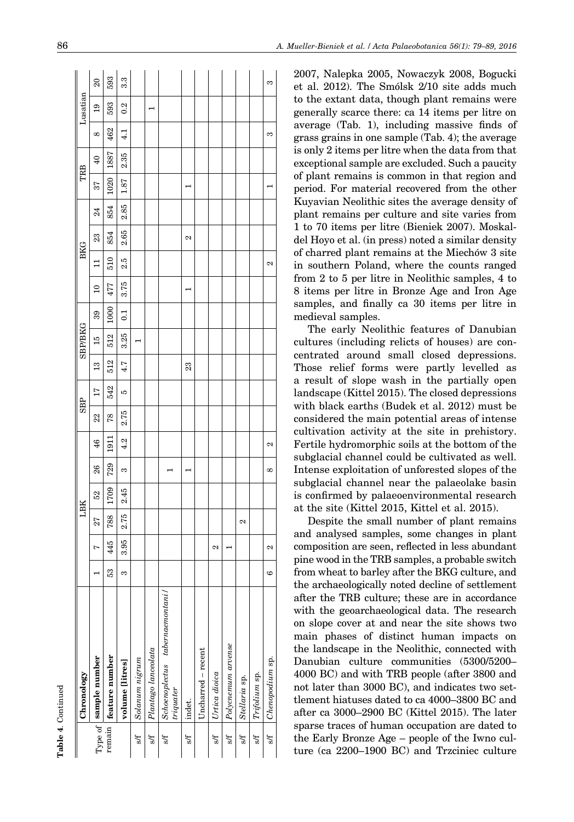|     | Chronology                                 |         |                    |                   | LВK  |     |                | <b>SBP</b> |     |               | <b>SBP/BKG</b> |                |          |                   | <b>BKG</b> |      |                       | TRB |                 |     | Lusatian        |
|-----|--------------------------------------------|---------|--------------------|-------------------|------|-----|----------------|------------|-----|---------------|----------------|----------------|----------|-------------------|------------|------|-----------------------|-----|-----------------|-----|-----------------|
|     | Type of sample number                      |         | Ņ                  | 27                | 52   | 26  | 46             | 22         | 17  | $\frac{3}{1}$ | $\frac{15}{1}$ | 39             | $\Omega$ | $\Xi$             | 23         | 24   |                       | 57  | $\overline{40}$ | 8   | $\overline{19}$ |
|     | remain feature number                      | 33      | 445                | 788               | 1709 | 729 | $\overline{5}$ | 78         | 542 | 512           | 512            | $\frac{8}{2}$  | 477      | 510               | 854        | 854  | 1020                  |     | 1887            | 462 | 593             |
|     | volume [litres]                            | S       | 3.95               | 2.75              | 2.45 | S   | 4.2            | 2.75       | S   | 4.7           | 3.25           | $\overline{c}$ | 3.75     | 25                | 2.65       | 2.85 | 1.87                  |     | 2.35            | 4.1 | 0.2             |
| s/f | Solanum nigrum                             |         |                    |                   |      |     |                |            |     |               |                |                |          |                   |            |      |                       |     |                 |     |                 |
| M   | Plantago lanceolata                        |         |                    |                   |      |     |                |            |     |               |                |                |          |                   |            |      |                       |     |                 |     |                 |
| s/f | Schoenoplectus tabernaemontani/<br>triquer |         |                    |                   |      |     |                |            |     |               |                |                |          |                   |            |      |                       |     |                 |     |                 |
| s/f | indet.                                     |         |                    |                   |      |     |                |            |     | 23            |                |                |          |                   | 2          |      | $\mathord{\text{--}}$ |     |                 |     |                 |
|     | Uncharred - recent                         |         |                    |                   |      |     |                |            |     |               |                |                |          |                   |            |      |                       |     |                 |     |                 |
| s/f | Urtica dioica                              |         | 2                  |                   |      |     |                |            |     |               |                |                |          |                   |            |      |                       |     |                 |     |                 |
| 5/f | $Polycnemum$ arvense                       |         |                    |                   |      |     |                |            |     |               |                |                |          |                   |            |      |                       |     |                 |     |                 |
| s/f | Stellaria sp.                              |         |                    | $\mathbf{\Omega}$ |      |     |                |            |     |               |                |                |          |                   |            |      |                       |     |                 |     |                 |
| s/f | Trifolium sp.                              |         |                    |                   |      |     |                |            |     |               |                |                |          |                   |            |      |                       |     |                 |     |                 |
| s/f | Chenopodium sp.                            | $\circ$ | $\mathbf{\hat{z}}$ |                   |      | 8   | 2              |            |     |               |                |                |          | $\mathbf{\Omega}$ |            |      |                       |     |                 | S   |                 |

2007, Nalepka 2005, Nowaczyk 2008, Bogucki et al. 2012). The Smólsk 2/10 site adds much to the extant data, though plant remains were generally scarce there: ca 14 items per litre on average (Tab. 1), including massive finds of grass grains in one sample (Tab. 4); the average is only 2 items per litre when the data from that exceptional sample are excluded. Such a paucity of plant remains is common in that region and period. For material recovered from the other Kuyavian Neolithic sites the average density of plant remains per culture and site varies from 1 to 70 items per litre (Bieniek 2007). Moskaldel Hoyo et al. (in press) noted a similar density of charred plant remains at the Miechów 3 site in southern Poland, where the counts ranged from 2 to 5 per litre in Neolithic samples, 4 to 8 items per litre in Bronze Age and Iron Age samples, and finally ca 30 items per litre in medieval samples.

The early Neolithic features of Danubian cultures (including relicts of houses) are con centrated around small closed depressions. Those relief forms were partly levelled as a result of slope wash in the partially open landscape (Kittel 2015). The closed depressions with black earths (Budek et al. 2012) must be considered the main potential areas of intense cultivation activity at the site in prehistory. Fertile hydromorphic soils at the bottom of the subglacial channel could be cultivated as well. Intense exploitation of unforested slopes of the subglacial channel near the palaeolake basin is confirmed by palaeoenvironmental research at the site (Kittel 2015, Kittel et al. 2015).

Despite the small number of plant remains and analysed samples, some changes in plant composition are seen, reflected in less abundant pine wood in the TRB samples, a probable switch from wheat to barley after the BKG culture, and the archaeologically noted decline of settlement after the TRB culture; these are in accordance with the geoarchaeological data. The research on slope cover at and near the site shows two main phases of distinct human impacts on the landscape in the Neolithic, connected with Danubian culture communities (5300/5200– 4000 BC) and with TRB people (after 3800 and not later than 3000 BC), and indicates two set tlement hiatuses dated to ca 4000–3800 BC and after ca 3000–2900 BC (Kittel 2015). The later sparse traces of human occupation are dated to the Early Bronze Age – people of the Iwno cul ture (ca 2200–1900 BC) and Trzciniec culture

**Table 4**. Continued

Table 4. Continued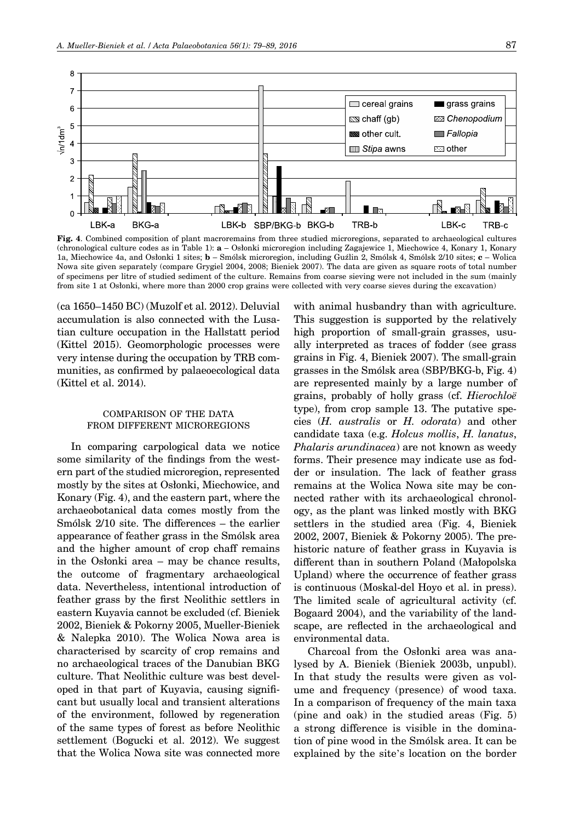

**Fig. 4**. Combined composition of plant macroremains from three studied microregions, separated to archaeological cultures (chronological culture codes as in Table 1): **a** – Osłonki microregion including Zagajewice 1, Miechowice 4, Konary 1, Konary 1a, Miechowice 4a, and Osłonki 1 sites; **b** – Smólsk microregion, including Guźlin 2, Smólsk 4, Smólsk 2/10 sites; **c** – Wolica Nowa site given separately (compare Grygiel 2004, 2008; Bieniek 2007). The data are given as square roots of total number of specimens per litre of studied sediment of the culture. Remains from coarse sieving were not included in the sum (mainly from site 1 at Osłonki, where more than 2000 crop grains were collected with very coarse sieves during the excavation)

(ca 1650–1450 BC) (Muzolf et al. 2012). Deluvial accumulation is also connected with the Lusatian culture occupation in the Hallstatt period (Kittel 2015). Geomorphologic processes were very intense during the occupation by TRB communities, as confirmed by palaeoecological data (Kittel et al. 2014).

# COMPARISON OF THE DATA FROM DIFFERENT MICROREGIONS

In comparing carpological data we notice some similarity of the findings from the western part of the studied microregion, represented mostly by the sites at Osłonki, Miechowice, and Konary (Fig. 4), and the eastern part, where the archaeobotanical data comes mostly from the Smólsk 2/10 site. The differences – the earlier appearance of feather grass in the Smólsk area and the higher amount of crop chaff remains in the Osłonki area – may be chance results, the outcome of fragmentary archaeological data. Nevertheless, intentional introduction of feather grass by the first Neolithic settlers in eastern Kuyavia cannot be excluded (cf. Bieniek 2002, Bieniek & Pokorny 2005, Mueller-Bieniek & Nalepka 2010). The Wolica Nowa area is characterised by scarcity of crop remains and no archaeological traces of the Danubian BKG culture. That Neolithic culture was best developed in that part of Kuyavia, causing significant but usually local and transient alterations of the environment, followed by regeneration of the same types of forest as before Neolithic settlement (Bogucki et al. 2012). We suggest that the Wolica Nowa site was connected more

with animal husbandry than with agriculture. This suggestion is supported by the relatively high proportion of small-grain grasses, usually interpreted as traces of fodder (see grass grains in Fig. 4, Bieniek 2007). The small-grain grasses in the Smólsk area (SBP/BKG-b, Fig. 4) are represented mainly by a large number of grains, probably of holly grass (cf. *Hierochloë* type), from crop sample 13. The putative species (*H. australis* or *H. odorata*) and other candidate taxa (e.g. *Holcus mollis*, *H. lanatus*, *Phalaris arundinacea*) are not known as weedy forms. Their presence may indicate use as fodder or insulation. The lack of feather grass remains at the Wolica Nowa site may be connected rather with its archaeological chronology, as the plant was linked mostly with BKG settlers in the studied area (Fig. 4, Bieniek 2002, 2007, Bieniek & Pokorny 2005). The prehistoric nature of feather grass in Kuyavia is different than in southern Poland (Małopolska Upland) where the occurrence of feather grass is continuous (Moskal-del Hoyo et al. in press). The limited scale of agricultural activity (cf. Bogaard 2004), and the variability of the landscape, are reflected in the archaeological and environmental data.

Charcoal from the Osłonki area was analysed by A. Bieniek (Bieniek 2003b, unpubl). In that study the results were given as volume and frequency (presence) of wood taxa. In a comparison of frequency of the main taxa (pine and oak) in the studied areas (Fig. 5) a strong difference is visible in the domination of pine wood in the Smólsk area. It can be explained by the site's location on the border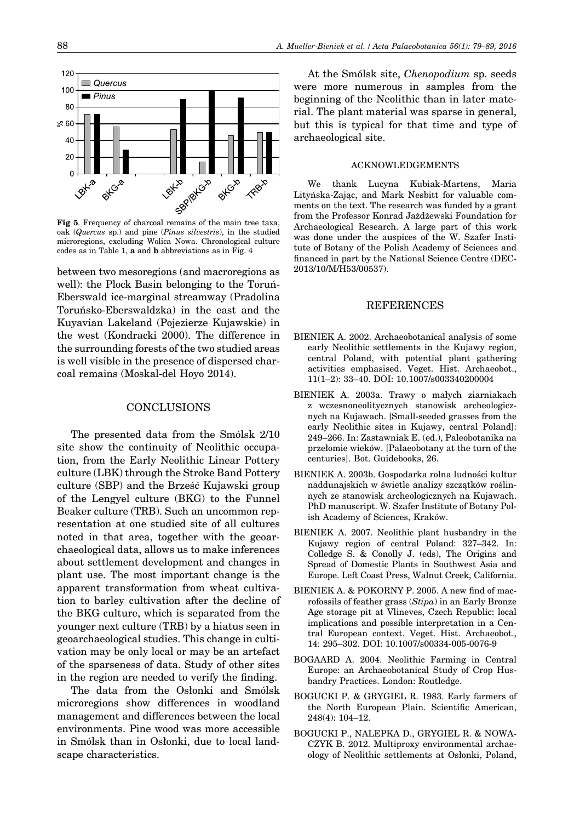

oak (*Quercus* sp.) and pine (*Pinus silvestris*), in the studied microregions, excluding Wolica Nowa. Chronological culture codes as in Table 1, **a** and **b** abbreviations as in Fig. 4

between two mesoregions (and macroregions as well): the Plock Basin belonging to the Toruń-Eberswald ice-marginal streamway (Pradolina Toruńsko-Eberswaldzka) in the east and the Kuyavian Lakeland (Pojezierze Kujawskie) in the west (Kondracki 2000). The difference in the surrounding forests of the two studied areas is well visible in the presence of dispersed charcoal remains (Moskal-del Hoyo 2014).

#### CONCLUSIONS

The presented data from the Smólsk 2/10 site show the continuity of Neolithic occupation, from the Early Neolithic Linear Pottery culture (LBK) through the Stroke Band Pottery culture (SBP) and the Brześć Kujawski group of the Lengyel culture (BKG) to the Funnel Beaker culture (TRB). Such an uncommon representation at one studied site of all cultures noted in that area, together with the geoarchaeological data, allows us to make inferences about settlement development and changes in plant use. The most important change is the apparent transformation from wheat cultivation to barley cultivation after the decline of the BKG culture, which is separated from the younger next culture (TRB) by a hiatus seen in geoarchaeological studies. This change in cultivation may be only local or may be an artefact of the sparseness of data. Study of other sites in the region are needed to verify the finding.

The data from the Osłonki and Smólsk microregions show differences in woodland management and differences between the local environments. Pine wood was more accessible in Smólsk than in Osłonki, due to local landscape characteristics.

At the Smólsk site, *Chenopodium* sp. seeds were more numerous in samples from the beginning of the Neolithic than in later material. The plant material was sparse in general, but this is typical for that time and type of archaeological site.

#### ACKNOWLEDGEMENTS

We thank Lucyna Kubiak-Martens, Maria Lityńska-Zając, and Mark Nesbitt for valuable comments on the text. The research was funded by a grant from the Professor Konrad Jażdżewski Foundation for Archaeological Research. A large part of this work was done under the auspices of the W. Szafer Institute of Botany of the Polish Academy of Sciences and financed in part by the National Science Centre (DEC-2013/10/M/H53/00537).

## REFERENCES

- BIENIEK A. 2002. Archaeobotanical analysis of some early Neolithic settlements in the Kujawy region, central Poland, with potential plant gathering activities emphasised. Veget. Hist. Archaeobot., 11(1–2): 33–40. DOI: 10.1007/s003340200004
- BIENIEK A. 2003a. Trawy o małych ziarniakach z wczesnoneolitycznych stanowisk archeologicznych na Kujawach. [Small-seeded grasses from the early Neolithic sites in Kujawy, central Poland]: 249–266. In: Zastawniak E. (ed.), Paleobotanika na przełomie wieków. [Palaeobotany at the turn of the centuries]. Bot. Guidebooks, 26.
- BIENIEK A. 2003b. Gospodarka rolna ludności kultur naddunajskich w świetle analizy szczątków roślinnych ze stanowisk archeologicznych na Kujawach. PhD manuscript. W. Szafer Institute of Botany Polish Academy of Sciences, Kraków.
- BIENIEK A. 2007. Neolithic plant husbandry in the Kujawy region of central Poland: 327–342. In: Colledge S. & Conolly J. (eds), The Origins and Spread of Domestic Plants in Southwest Asia and Europe. Left Coast Press, Walnut Creek, California.
- BIENIEK A. & POKORNY P. 2005. A new find of macrofossils of feather grass (*Stipa*) in an Early Bronze Age storage pit at Vlineves, Czech Republic: local implications and possible interpretation in a Central European context. Veget. Hist. Archaeobot., 14: 295–302. DOI: 10.1007/s00334-005-0076-9
- BOGAARD A. 2004. Neolithic Farming in Central Europe: an Archaeobotanical Study of Crop Husbandry Practices. London: Routledge.
- BOGUCKI P. & GRYGIEL R. 1983. Early farmers of the North European Plain. Scientific American, 248(4): 104–12.
- BOGUCKI P., NALEPKA D., GRYGIEL R. & NOWA-CZYK B. 2012. Multiproxy environmental archaeology of Neolithic settlements at Osłonki, Poland,